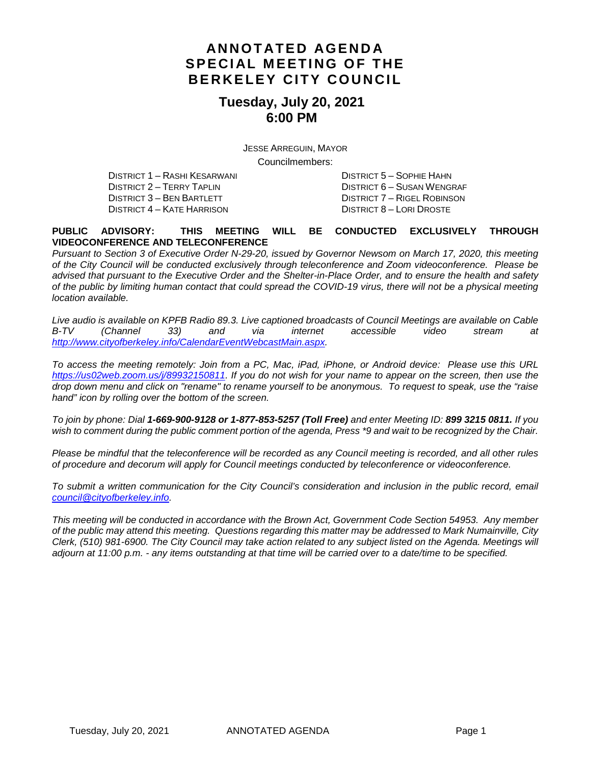# **ANNOTATED AGENDA SPECIAL MEETING OF THE BERKELEY CITY COUNCIL**

### **Tuesday, July 20, 2021 6:00 PM**

JESSE ARREGUIN, MAYOR Councilmembers:

DISTRICT 1 – RASHI KESARWANI DISTRICT 5 – SOPHIE HAHN DISTRICT 2 – TERRY TAPLIN DISTRICT 6 – SUSAN WENGRAF DISTRICT 4 – KATE HARRISON DISTRICT 8 – LORI DROSTE

DISTRICT 7 – RIGEL ROBINSON

#### **PUBLIC ADVISORY: THIS MEETING WILL BE CONDUCTED EXCLUSIVELY THROUGH VIDEOCONFERENCE AND TELECONFERENCE**

*Pursuant to Section 3 of Executive Order N-29-20, issued by Governor Newsom on March 17, 2020, this meeting of the City Council will be conducted exclusively through teleconference and Zoom videoconference. Please be advised that pursuant to the Executive Order and the Shelter-in-Place Order, and to ensure the health and safety of the public by limiting human contact that could spread the COVID-19 virus, there will not be a physical meeting location available.* 

*Live audio is available on KPFB Radio 89.3. Live captioned broadcasts of Council Meetings are available on Cable B-TV (Channel 33) and via internet accessible video stream at [http://www.cityofberkeley.info/CalendarEventWebcastMain.aspx.](http://www.cityofberkeley.info/CalendarEventWebcastMain.aspx)*

*To access the meeting remotely: Join from a PC, Mac, iPad, iPhone, or Android device: Please use this URL [https://us02web.zoom.us/j/89932150811.](https://us02web.zoom.us/j/89932150811) If you do not wish for your name to appear on the screen, then use the drop down menu and click on "rename" to rename yourself to be anonymous. To request to speak, use the "raise hand" icon by rolling over the bottom of the screen.* 

*To join by phone: Dial 1-669-900-9128 or 1-877-853-5257 (Toll Free) and enter Meeting ID: 899 3215 0811. If you*  wish to comment during the public comment portion of the agenda, Press \*9 and wait to be recognized by the Chair.

*Please be mindful that the teleconference will be recorded as any Council meeting is recorded, and all other rules of procedure and decorum will apply for Council meetings conducted by teleconference or videoconference.*

*To submit a written communication for the City Council's consideration and inclusion in the public record, email [council@cityofberkeley.info.](mailto:council@cityofberkeley.info)*

*This meeting will be conducted in accordance with the Brown Act, Government Code Section 54953. Any member of the public may attend this meeting. Questions regarding this matter may be addressed to Mark Numainville, City Clerk, (510) 981-6900. The City Council may take action related to any subject listed on the Agenda. Meetings will adjourn at 11:00 p.m. - any items outstanding at that time will be carried over to a date/time to be specified.*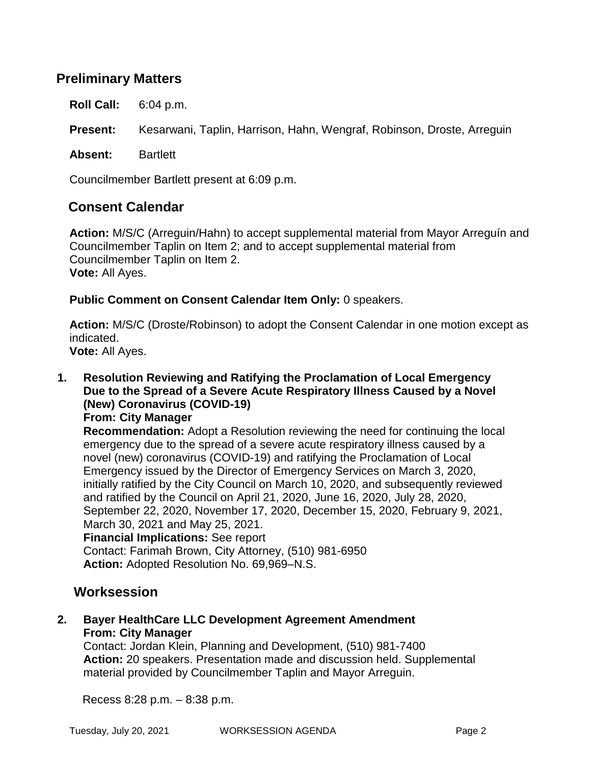# **Preliminary Matters**

**Roll Call:** 6:04 p.m.

**Present:** Kesarwani, Taplin, Harrison, Hahn, Wengraf, Robinson, Droste, Arreguin

**Absent:** Bartlett

Councilmember Bartlett present at 6:09 p.m.

## **Consent Calendar**

**Action:** M/S/C (Arreguin/Hahn) to accept supplemental material from Mayor Arreguín and Councilmember Taplin on Item 2; and to accept supplemental material from Councilmember Taplin on Item 2. **Vote:** All Ayes.

**Public Comment on Consent Calendar Item Only:** 0 speakers.

**Action:** M/S/C (Droste/Robinson) to adopt the Consent Calendar in one motion except as indicated.

**Vote:** All Ayes.

- **1. Resolution Reviewing and Ratifying the Proclamation of Local Emergency Due to the Spread of a Severe Acute Respiratory Illness Caused by a Novel (New) Coronavirus (COVID-19)**
	- **From: City Manager**

**Recommendation:** Adopt a Resolution reviewing the need for continuing the local emergency due to the spread of a severe acute respiratory illness caused by a novel (new) coronavirus (COVID-19) and ratifying the Proclamation of Local Emergency issued by the Director of Emergency Services on March 3, 2020, initially ratified by the City Council on March 10, 2020, and subsequently reviewed and ratified by the Council on April 21, 2020, June 16, 2020, July 28, 2020, September 22, 2020, November 17, 2020, December 15, 2020, February 9, 2021, March 30, 2021 and May 25, 2021.

#### **Financial Implications:** See report

Contact: Farimah Brown, City Attorney, (510) 981-6950 **Action:** Adopted Resolution No. 69,969–N.S.

## **Worksession**

**2. Bayer HealthCare LLC Development Agreement Amendment From: City Manager**

Contact: Jordan Klein, Planning and Development, (510) 981-7400 **Action:** 20 speakers. Presentation made and discussion held. Supplemental material provided by Councilmember Taplin and Mayor Arreguin.

Recess 8:28 p.m. – 8:38 p.m.